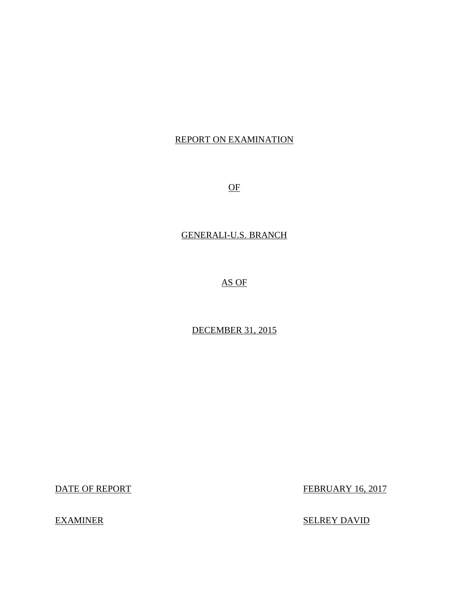## REPORT ON EXAMINATION

OF

## GENERALI-U.S. BRANCH

## AS OF

## DECEMBER 31, 2015

DATE OF REPORT FEBRUARY 16, 2017

EXAMINER SELREY DAVID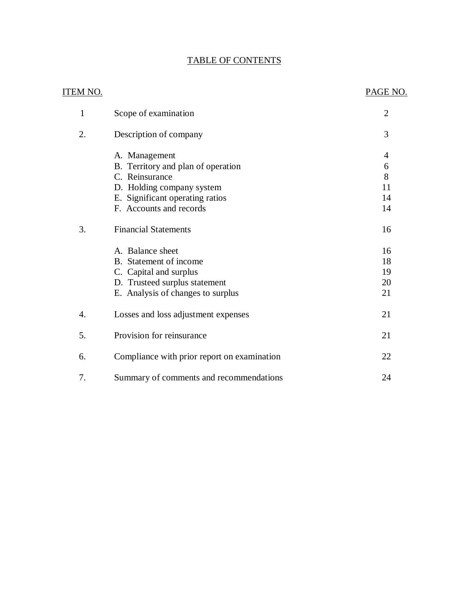## TABLE OF CONTENTS

| <u>ITEM NO.</u> |                                             | PAGE NO.       |
|-----------------|---------------------------------------------|----------------|
| 1               | Scope of examination                        | $\overline{2}$ |
| 2.              | Description of company                      | 3              |
|                 | A. Management                               | $\overline{4}$ |
|                 | B. Territory and plan of operation          | 6              |
|                 | C. Reinsurance                              | 8              |
|                 | D. Holding company system                   | 11             |
|                 | E. Significant operating ratios             | 14             |
|                 | F. Accounts and records                     | 14             |
| 3.              | <b>Financial Statements</b>                 | 16             |
|                 | A. Balance sheet                            | 16             |
|                 | B. Statement of income                      | 18             |
|                 | C. Capital and surplus                      | 19             |
|                 | D. Trusteed surplus statement               | 20             |
|                 | E. Analysis of changes to surplus           | 21             |
| 4.              | Losses and loss adjustment expenses         | 21             |
| 5.              | Provision for reinsurance                   | 21             |
| 6.              | Compliance with prior report on examination | 22             |
| 7.              | Summary of comments and recommendations     | 24             |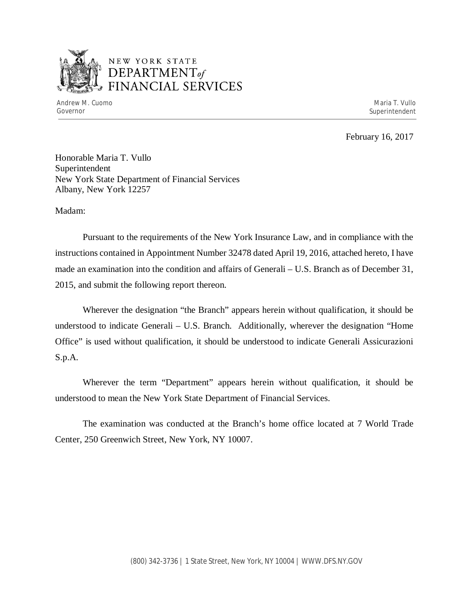

## NEW YORK STATE *DEPARTMENTof*  FINANCIAL SERVICES

Andrew M. Cuomo **Maria T. Vullo** Maria T. Vullo Maria T. Vullo Maria T. Vullo Maria T. Vullo Maria T. Vullo Governor Superintendent Superintendent Superintendent Superintendent Superintendent Superintendent Superintendent

February 16, 2017

Honorable Maria T. Vullo Superintendent New York State Department of Financial Services Albany, New York 12257

Madam:

Pursuant to the requirements of the New York Insurance Law, and in compliance with the instructions contained in Appointment Number 32478 dated April 19, 2016, attached hereto, I have made an examination into the condition and affairs of Generali – U.S. Branch as of December 31, 2015, and submit the following report thereon.

Wherever the designation "the Branch" appears herein without qualification, it should be understood to indicate Generali – U.S. Branch. Additionally, wherever the designation "Home Office" is used without qualification, it should be understood to indicate Generali Assicurazioni S.p.A.

Wherever the term "Department" appears herein without qualification, it should be understood to mean the New York State Department of Financial Services.

The examination was conducted at the Branch's home office located at 7 World Trade Center, 250 Greenwich Street, New York, NY 10007.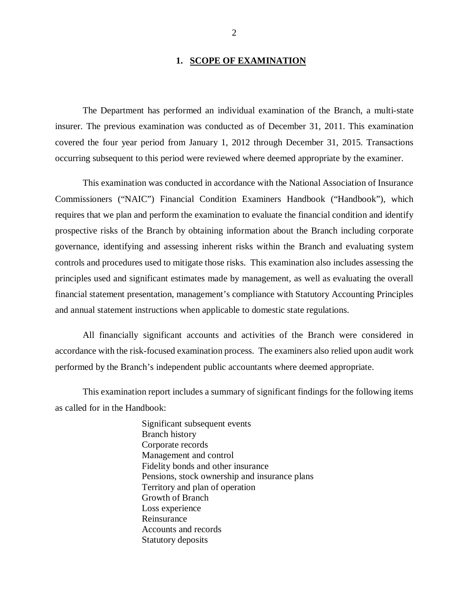#### 1. **SCOPE OF EXAMINATION**

The Department has performed an individual examination of the Branch*,* a multi-state insurer. The previous examination was conducted as of December 31, 2011. This examination covered the four year period from January 1, 2012 through December 31, 2015. Transactions occurring subsequent to this period were reviewed where deemed appropriate by the examiner.

This examination was conducted in accordance with the National Association of Insurance Commissioners ("NAIC") Financial Condition Examiners Handbook ("Handbook"), which requires that we plan and perform the examination to evaluate the financial condition and identify prospective risks of the Branch by obtaining information about the Branch including corporate governance, identifying and assessing inherent risks within the Branch and evaluating system controls and procedures used to mitigate those risks. This examination also includes assessing the principles used and significant estimates made by management, as well as evaluating the overall financial statement presentation, management's compliance with Statutory Accounting Principles and annual statement instructions when applicable to domestic state regulations.

All financially significant accounts and activities of the Branch were considered in accordance with the risk-focused examination process. The examiners also relied upon audit work performed by the Branch's independent public accountants where deemed appropriate.

This examination report includes a summary of significant findings for the following items as called for in the Handbook:

> Significant subsequent events Branch history Corporate records Management and control Fidelity bonds and other insurance Pensions, stock ownership and insurance plans Territory and plan of operation Growth of Branch Loss experience Reinsurance Accounts and records Statutory deposits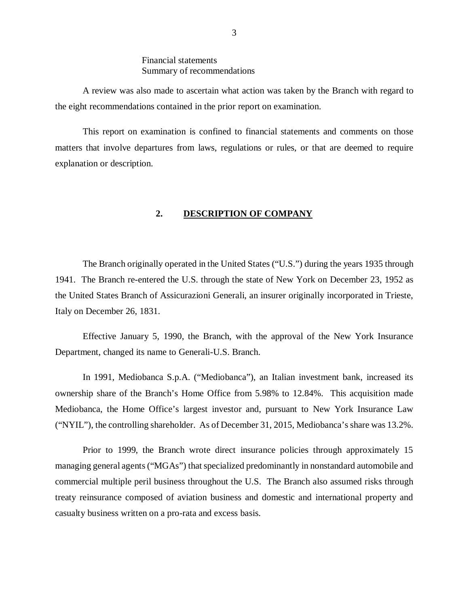## Financial statements Summary of recommendations

<span id="page-4-0"></span>A review was also made to ascertain what action was taken by the Branch with regard to the eight recommendations contained in the prior report on examination.

This report on examination is confined to financial statements and comments on those matters that involve departures from laws, regulations or rules, or that are deemed to require explanation or description.

#### **2. DESCRIPTION OF COMPANY**

The Branch originally operated in the United States ("U.S.") during the years 1935 through 1941. The Branch re-entered the U.S. through the state of New York on December 23, 1952 as the United States Branch of Assicurazioni Generali, an insurer originally incorporated in Trieste, Italy on December 26, 1831.

Effective January 5, 1990, the Branch, with the approval of the New York Insurance Department, changed its name to Generali-U.S. Branch.

In 1991, Mediobanca S.p.A. ("Mediobanca"), an Italian investment bank, increased its ownership share of the Branch's Home Office from 5.98% to 12.84%. This acquisition made Mediobanca, the Home Office's largest investor and, pursuant to New York Insurance Law ("NYIL"), the controlling shareholder. As of December 31, 2015, Mediobanca's share was 13.2%.

Prior to 1999, the Branch wrote direct insurance policies through approximately 15 managing general agents ("MGAs") that specialized predominantly in nonstandard automobile and commercial multiple peril business throughout the U.S. The Branch also assumed risks through treaty reinsurance composed of aviation business and domestic and international property and casualty business written on a pro-rata and excess basis.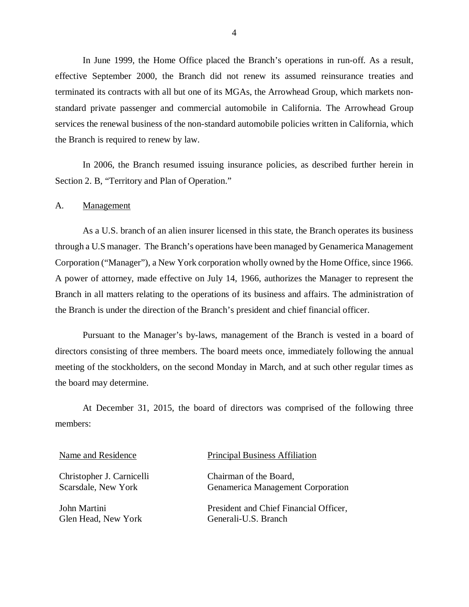In June 1999, the Home Office placed the Branch's operations in run-off. As a result, effective September 2000, the Branch did not renew its assumed reinsurance treaties and terminated its contracts with all but one of its MGAs, the Arrowhead Group, which markets nonstandard private passenger and commercial automobile in California. The Arrowhead Group services the renewal business of the non-standard automobile policies written in California, which the Branch is required to renew by law.

In 2006, the Branch resumed issuing insurance policies, as described further herein in Section 2. B, "Territory and Plan of Operation."

A. Management

As a U.S. branch of an alien insurer licensed in this state, the Branch operates its business through a U.S manager. The Branch's operations have been managed by Genamerica Management Corporation ("Manager"), a New York corporation wholly owned by the Home Office, since 1966. A power of attorney, made effective on July 14, 1966, authorizes the Manager to represent the Branch in all matters relating to the operations of its business and affairs. The administration of the Branch is under the direction of the Branch's president and chief financial officer.

Pursuant to the Manager's by-laws, management of the Branch is vested in a board of directors consisting of three members. The board meets once, immediately following the annual meeting of the stockholders, on the second Monday in March, and at such other regular times as the board may determine.

At December 31, 2015, the board of directors was comprised of the following three members:

Christopher J. Carnicelli Scarsdale, New York

John Martini Glen Head, New York

#### Name and Residence Principal Business Affiliation

Chairman of the Board, Genamerica Management Corporation

President and Chief Financial Officer, Generali-U.S. Branch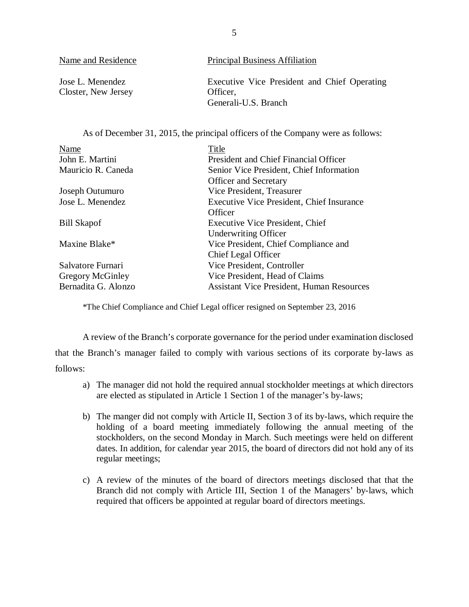| Name and Residence                      | <b>Principal Business Affiliation</b>                    |
|-----------------------------------------|----------------------------------------------------------|
| Jose L. Menendez<br>Closter, New Jersey | Executive Vice President and Chief Operating<br>Officer. |
|                                         | Generali-U.S. Branch                                     |

As of December 31, 2015, the principal officers of the Company were as follows:

| Name                | Title                                            |
|---------------------|--------------------------------------------------|
| John E. Martini     | President and Chief Financial Officer            |
| Mauricio R. Caneda  | Senior Vice President, Chief Information         |
|                     | <b>Officer and Secretary</b>                     |
| Joseph Outumuro     | Vice President, Treasurer                        |
| Jose L. Menendez    | <b>Executive Vice President, Chief Insurance</b> |
|                     | Officer                                          |
| <b>Bill Skapof</b>  | Executive Vice President, Chief                  |
|                     | <b>Underwriting Officer</b>                      |
| Maxine Blake*       | Vice President, Chief Compliance and             |
|                     | Chief Legal Officer                              |
| Salvatore Furnari   | Vice President, Controller                       |
| Gregory McGinley    | Vice President, Head of Claims                   |
| Bernadita G. Alonzo | <b>Assistant Vice President, Human Resources</b> |

\*The Chief Compliance and Chief Legal officer resigned on September 23, 2016

A review of the Branch's corporate governance for the period under examination disclosed that the Branch's manager failed to comply with various sections of its corporate by-laws as follows:

- a) The manager did not hold the required annual stockholder meetings at which directors are elected as stipulated in Article 1 Section 1 of the manager's by-laws;
- b) The manger did not comply with Article II, Section 3 of its by-laws, which require the holding of a board meeting immediately following the annual meeting of the stockholders, on the second Monday in March. Such meetings were held on different dates. In addition, for calendar year 2015, the board of directors did not hold any of its regular meetings;
- c) A review of the minutes of the board of directors meetings disclosed that that the Branch did not comply with Article III, Section 1 of the Managers' by-laws, which required that officers be appointed at regular board of directors meetings.

5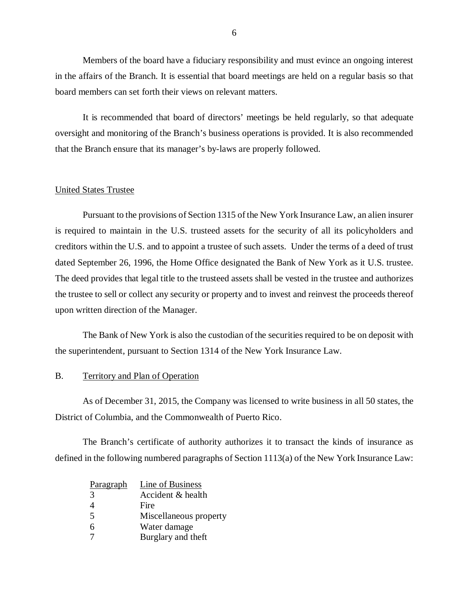<span id="page-7-0"></span>Members of the board have a fiduciary responsibility and must evince an ongoing interest in the affairs of the Branch. It is essential that board meetings are held on a regular basis so that board members can set forth their views on relevant matters.

It is recommended that board of directors' meetings be held regularly, so that adequate oversight and monitoring of the Branch's business operations is provided. It is also recommended that the Branch ensure that its manager's by-laws are properly followed.

#### United States Trustee

Pursuant to the provisions of Section 1315 of the New York Insurance Law, an alien insurer is required to maintain in the U.S. trusteed assets for the security of all its policyholders and creditors within the U.S. and to appoint a trustee of such assets. Under the terms of a deed of trust dated September 26, 1996, the Home Office designated the Bank of New York as it U.S. trustee. The deed provides that legal title to the trusteed assets shall be vested in the trustee and authorizes the trustee to sell or collect any security or property and to invest and reinvest the proceeds thereof upon written direction of the Manager.

The Bank of New York is also the custodian of the securities required to be on deposit with the superintendent, pursuant to Section 1314 of the New York Insurance Law.

#### B. Territory and Plan of Operation

As of December 31, 2015, the Company was licensed to write business in all 50 states, the District of Columbia, and the Commonwealth of Puerto Rico.

The Branch's certificate of authority authorizes it to transact the kinds of insurance as defined in the following numbered paragraphs of Section 1113(a) of the New York Insurance Law:

| Paragraph      | Line of Business       |
|----------------|------------------------|
| $\mathcal{R}$  | Accident & health      |
| 4              | Fire                   |
| $\overline{5}$ | Miscellaneous property |
| 6              | Water damage           |
|                | Burglary and theft     |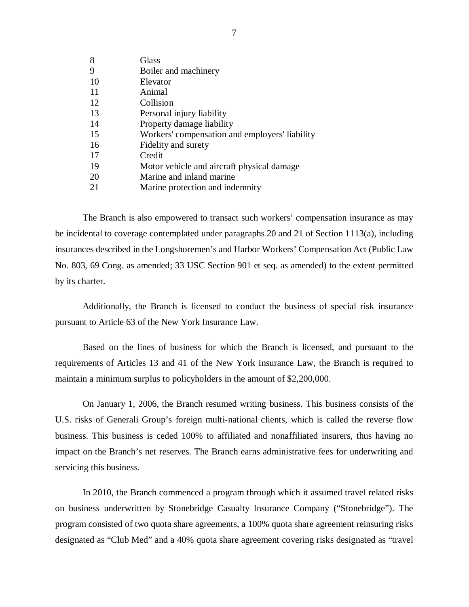| 8   | Glass                                          |
|-----|------------------------------------------------|
| 9   | Boiler and machinery                           |
| 10  | Elevator                                       |
| -11 | Animal                                         |
| 12  | Collision                                      |
| 13  | Personal injury liability                      |
| 14  | Property damage liability                      |
| 15  | Workers' compensation and employers' liability |
| 16  | Fidelity and surety                            |
| 17  | Credit                                         |
| 19  | Motor vehicle and aircraft physical damage.    |
| 20  | Marine and inland marine                       |
| 21  | Marine protection and indemnity                |
|     |                                                |

The Branch is also empowered to transact such workers' compensation insurance as may be incidental to coverage contemplated under paragraphs 20 and 21 of Section 1113(a), including insurances described in the Longshoremen's and Harbor Workers' Compensation Act (Public Law No. 803, 69 Cong. as amended; 33 USC Section 901 et seq. as amended) to the extent permitted by its charter.

Additionally, the Branch is licensed to conduct the business of special risk insurance pursuant to Article 63 of the New York Insurance Law.

Based on the lines of business for which the Branch is licensed, and pursuant to the requirements of Articles 13 and 41 of the New York Insurance Law, the Branch is required to maintain a minimum surplus to policyholders in the amount of \$2,200,000.

On January 1, 2006, the Branch resumed writing business. This business consists of the U.S. risks of Generali Group's foreign multi-national clients, which is called the reverse flow business. This business is ceded 100% to affiliated and nonaffiliated insurers, thus having no impact on the Branch's net reserves. The Branch earns administrative fees for underwriting and servicing this business.

In 2010, the Branch commenced a program through which it assumed travel related risks on business underwritten by Stonebridge Casualty Insurance Company ("Stonebridge"). The program consisted of two quota share agreements, a 100% quota share agreement reinsuring risks designated as "Club Med" and a 40% quota share agreement covering risks designated as "travel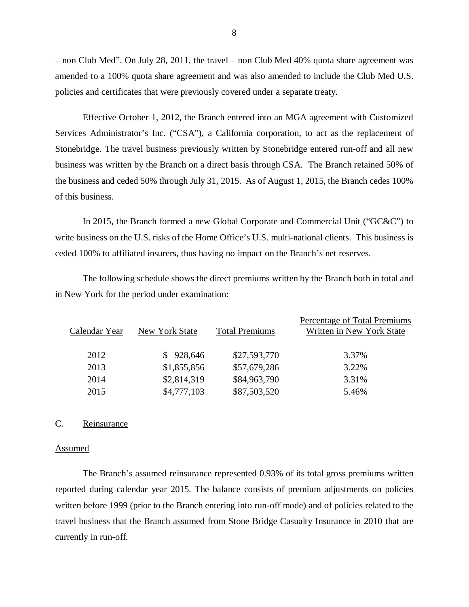– non Club Med". On July 28, 2011, the travel – non Club Med 40% quota share agreement was amended to a 100% quota share agreement and was also amended to include the Club Med U.S. policies and certificates that were previously covered under a separate treaty.

Effective October 1, 2012, the Branch entered into an MGA agreement with Customized Services Administrator's Inc. ("CSA"), a California corporation, to act as the replacement of Stonebridge. The travel business previously written by Stonebridge entered run-off and all new business was written by the Branch on a direct basis through CSA. The Branch retained 50% of the business and ceded 50% through July 31, 2015. As of August 1, 2015, the Branch cedes 100% of this business.

In 2015, the Branch formed a new Global Corporate and Commercial Unit ("GC&C") to write business on the U.S. risks of the Home Office's U.S. multi-national clients. This business is ceded 100% to affiliated insurers, thus having no impact on the Branch's net reserves.

The following schedule shows the direct premiums written by the Branch both in total and in New York for the period under examination:

| Calendar Year | New York State | <b>Total Premiums</b> | Percentage of Total Premiums<br>Written in New York State |
|---------------|----------------|-----------------------|-----------------------------------------------------------|
| 2012          | \$928,646      | \$27,593,770          | 3.37%                                                     |
| 2013          | \$1,855,856    | \$57,679,286          | 3.22%                                                     |
| 2014          | \$2,814,319    | \$84,963,790          | 3.31%                                                     |
| 2015          | \$4,777,103    | \$87,503,520          | 5.46%                                                     |

#### C. Reinsurance

#### Assumed

The Branch's assumed reinsurance represented 0.93% of its total gross premiums written reported during calendar year 2015. The balance consists of premium adjustments on policies written before 1999 (prior to the Branch entering into run-off mode) and of policies related to the travel business that the Branch assumed from Stone Bridge Casualty Insurance in 2010 that are currently in run-off.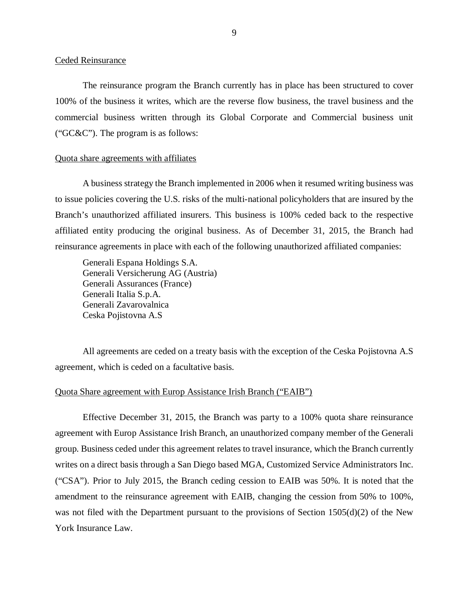#### Ceded Reinsurance

The reinsurance program the Branch currently has in place has been structured to cover 100% of the business it writes, which are the reverse flow business, the travel business and the commercial business written through its Global Corporate and Commercial business unit ("GC&C"). The program is as follows:

#### Quota share agreements with affiliates

A business strategy the Branch implemented in 2006 when it resumed writing business was to issue policies covering the U.S. risks of the multi-national policyholders that are insured by the Branch's unauthorized affiliated insurers. This business is 100% ceded back to the respective affiliated entity producing the original business. As of December 31, 2015, the Branch had reinsurance agreements in place with each of the following unauthorized affiliated companies:

Generali Espana Holdings S.A. Generali Versicherung AG (Austria) Generali Assurances (France) Generali Italia S.p.A. Generali Zavarovalnica Ceska Pojistovna A.S

All agreements are ceded on a treaty basis with the exception of the Ceska Pojistovna A.S agreement, which is ceded on a facultative basis.

## Quota Share agreement with Europ Assistance Irish Branch ("EAIB")

Effective December 31, 2015, the Branch was party to a 100% quota share reinsurance agreement with Europ Assistance Irish Branch, an unauthorized company member of the Generali group. Business ceded under this agreement relates to travel insurance, which the Branch currently writes on a direct basis through a San Diego based MGA, Customized Service Administrators Inc. ("CSA"). Prior to July 2015, the Branch ceding cession to EAIB was 50%. It is noted that the amendment to the reinsurance agreement with EAIB, changing the cession from 50% to 100%, was not filed with the Department pursuant to the provisions of Section  $1505(d)(2)$  of the New York Insurance Law.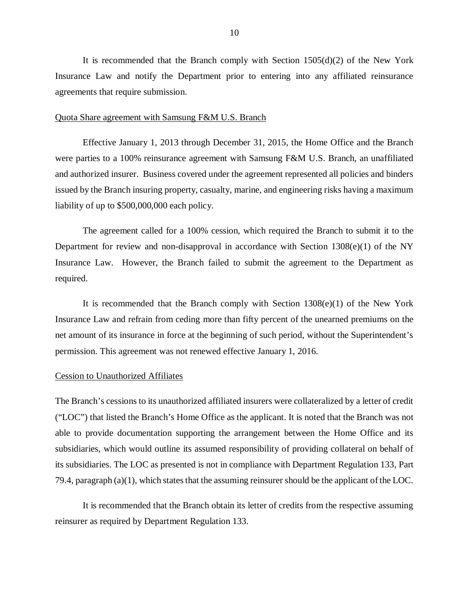It is recommended that the Branch comply with Section  $1505(d)(2)$  of the New York Insurance Law and notify the Department prior to entering into any affiliated reinsurance agreements that require submission.

#### Quota Share agreement with Samsung F&M U.S. Branch

Effective January 1, 2013 through December 31, 2015, the Home Office and the Branch were parties to a 100% reinsurance agreement with Samsung F&M U.S. Branch, an unaffiliated and authorized insurer. Business covered under the agreement represented all policies and binders issued by the Branch insuring property, casualty, marine, and engineering risks having a maximum liability of up to \$500,000,000 each policy.

The agreement called for a 100% cession, which required the Branch to submit it to the Department for review and non-disapproval in accordance with Section 1308(e)(1) of the NY Insurance Law. However, the Branch failed to submit the agreement to the Department as required.

It is recommended that the Branch comply with Section 1308(e)(1) of the New York Insurance Law and refrain from ceding more than fifty percent of the unearned premiums on the net amount of its insurance in force at the beginning of such period, without the Superintendent's permission. This agreement was not renewed effective January 1, 2016.

#### Cession to Unauthorized Affiliates

The Branch's cessions to its unauthorized affiliated insurers were collateralized by a letter of credit ("LOC") that listed the Branch's Home Office as the applicant. It is noted that the Branch was not able to provide documentation supporting the arrangement between the Home Office and its subsidiaries, which would outline its assumed responsibility of providing collateral on behalf of its subsidiaries. The LOC as presented is not in compliance with Department Regulation 133, Part 79.4, paragraph (a)(1), which states that the assuming reinsurer should be the applicant of the LOC.

It is recommended that the Branch obtain its letter of credits from the respective assuming reinsurer as required by Department Regulation 133.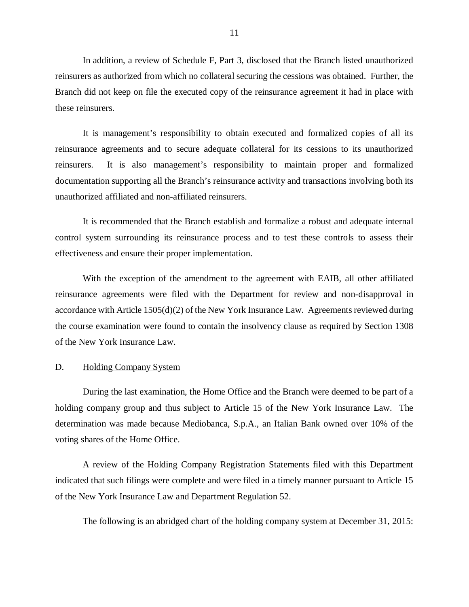<span id="page-12-0"></span>In addition, a review of Schedule F, Part 3, disclosed that the Branch listed unauthorized reinsurers as authorized from which no collateral securing the cessions was obtained. Further, the Branch did not keep on file the executed copy of the reinsurance agreement it had in place with these reinsurers.

It is management's responsibility to obtain executed and formalized copies of all its reinsurance agreements and to secure adequate collateral for its cessions to its unauthorized reinsurers. It is also management's responsibility to maintain proper and formalized documentation supporting all the Branch's reinsurance activity and transactions involving both its unauthorized affiliated and non-affiliated reinsurers.

It is recommended that the Branch establish and formalize a robust and adequate internal control system surrounding its reinsurance process and to test these controls to assess their effectiveness and ensure their proper implementation.

With the exception of the amendment to the agreement with EAIB, all other affiliated reinsurance agreements were filed with the Department for review and non-disapproval in accordance with Article 1505(d)(2) of the New York Insurance Law. Agreements reviewed during the course examination were found to contain the insolvency clause as required by Section 1308 of the New York Insurance Law.

#### D. Holding Company System

During the last examination, the Home Office and the Branch were deemed to be part of a holding company group and thus subject to Article 15 of the New York Insurance Law. The determination was made because Mediobanca, S.p.A., an Italian Bank owned over 10% of the voting shares of the Home Office.

A review of the Holding Company Registration Statements filed with this Department indicated that such filings were complete and were filed in a timely manner pursuant to Article 15 of the New York Insurance Law and Department Regulation 52.

The following is an abridged chart of the holding company system at December 31, 2015:

11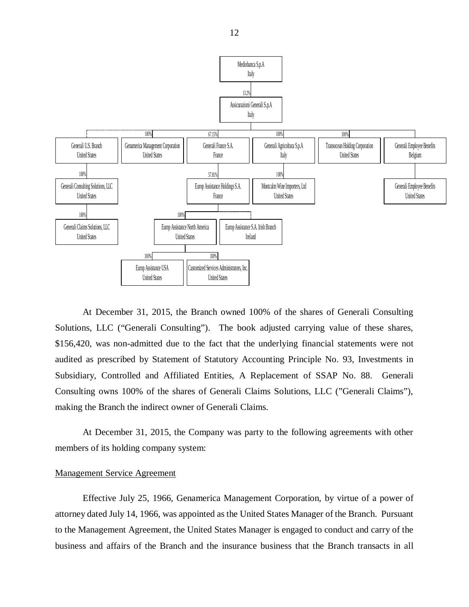

At December 31, 2015, the Branch owned 100% of the shares of Generali Consulting Solutions, LLC ("Generali Consulting"). The book adjusted carrying value of these shares, \$156,420, was non-admitted due to the fact that the underlying financial statements were not audited as prescribed by Statement of Statutory Accounting Principle No. 93, Investments in Subsidiary, Controlled and Affiliated Entities, A Replacement of SSAP No. 88. Generali Consulting owns 100% of the shares of Generali Claims Solutions, LLC ("Generali Claims"), making the Branch the indirect owner of Generali Claims.

At December 31, 2015, the Company was party to the following agreements with other members of its holding company system:

#### Management Service Agreement

Effective July 25, 1966, Genamerica Management Corporation, by virtue of a power of attorney dated July 14, 1966, was appointed as the United States Manager of the Branch. Pursuant to the Management Agreement, the United States Manager is engaged to conduct and carry of the business and affairs of the Branch and the insurance business that the Branch transacts in all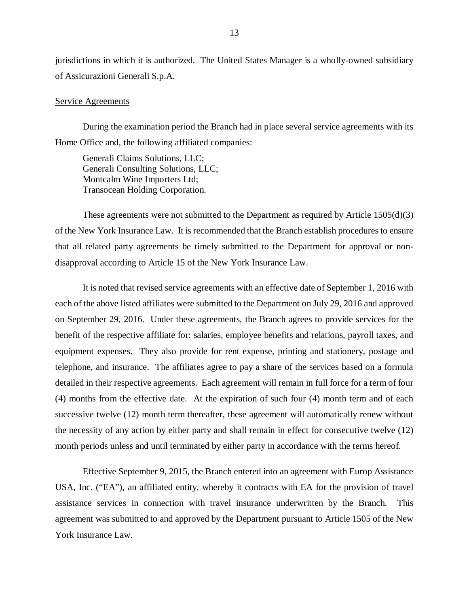jurisdictions in which it is authorized. The United States Manager is a wholly-owned subsidiary of Assicurazioni Generali S.p.A.

#### Service Agreements

During the examination period the Branch had in place several service agreements with its Home Office and, the following affiliated companies:

Generali Claims Solutions, LLC; Generali Consulting Solutions, LLC; Montcalm Wine Importers Ltd; Transocean Holding Corporation.

These agreements were not submitted to the Department as required by Article 1505(d)(3) of the New York Insurance Law. It is recommended that the Branch establish procedures to ensure that all related party agreements be timely submitted to the Department for approval or nondisapproval according to Article 15 of the New York Insurance Law.

It is noted that revised service agreements with an effective date of September 1, 2016 with each of the above listed affiliates were submitted to the Department on July 29, 2016 and approved on September 29, 2016. Under these agreements, the Branch agrees to provide services for the benefit of the respective affiliate for: salaries, employee benefits and relations, payroll taxes, and equipment expenses. They also provide for rent expense, printing and stationery, postage and telephone, and insurance. The affiliates agree to pay a share of the services based on a formula detailed in their respective agreements. Each agreement will remain in full force for a term of four (4) months from the effective date. At the expiration of such four (4) month term and of each successive twelve (12) month term thereafter, these agreement will automatically renew without the necessity of any action by either party and shall remain in effect for consecutive twelve (12) month periods unless and until terminated by either party in accordance with the terms hereof.

Effective September 9, 2015, the Branch entered into an agreement with Europ Assistance USA, Inc. ("EA"), an affiliated entity, whereby it contracts with EA for the provision of travel assistance services in connection with travel insurance underwritten by the Branch. This agreement was submitted to and approved by the Department pursuant to Article 1505 of the New York Insurance Law.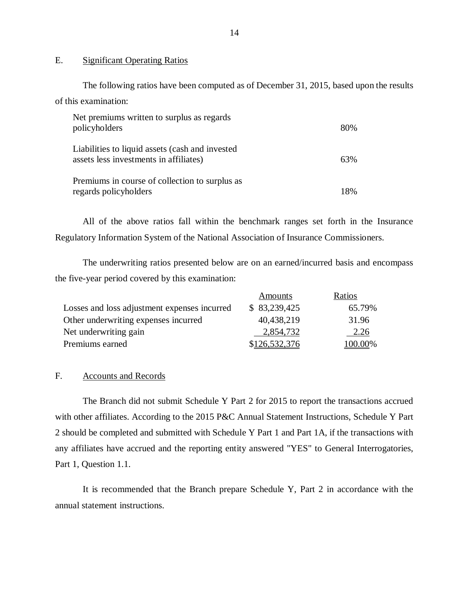### E. Significant Operating Ratios

The following ratios have been computed as of December 31, 2015, based upon the results of this examination:

| Net premiums written to surplus as regards<br>policyholders                               | 80% |
|-------------------------------------------------------------------------------------------|-----|
| Liabilities to liquid assets (cash and invested<br>assets less investments in affiliates) | 63% |
| Premiums in course of collection to surplus as<br>regards policyholders                   | 18% |

All of the above ratios fall within the benchmark ranges set forth in the Insurance Regulatory Information System of the National Association of Insurance Commissioners.

The underwriting ratios presented below are on an earned/incurred basis and encompass the five-year period covered by this examination:

|                                              | Amounts       | Ratios  |
|----------------------------------------------|---------------|---------|
| Losses and loss adjustment expenses incurred | \$ 83,239,425 | 65.79%  |
| Other underwriting expenses incurred         | 40,438,219    | 31.96   |
| Net underwriting gain                        | 2,854,732     | 2.26    |
| Premiums earned                              | \$126,532,376 | 100.00% |

## F. Accounts and Records

The Branch did not submit Schedule Y Part 2 for 2015 to report the transactions accrued with other affiliates. According to the 2015 P&C Annual Statement Instructions, Schedule Y Part 2 should be completed and submitted with Schedule Y Part 1 and Part 1A, if the transactions with any affiliates have accrued and the reporting entity answered "YES" to General Interrogatories, Part 1, Question 1.1.

It is recommended that the Branch prepare Schedule Y, Part 2 in accordance with the annual statement instructions.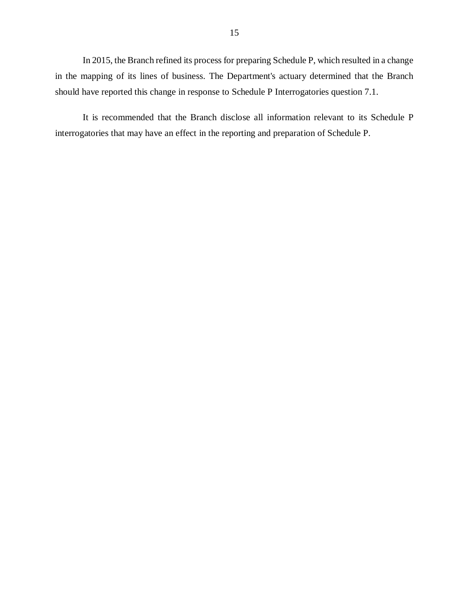In 2015, the Branch refined its process for preparing Schedule P, which resulted in a change in the mapping of its lines of business. The Department's actuary determined that the Branch should have reported this change in response to Schedule P Interrogatories question 7.1.

It is recommended that the Branch disclose all information relevant to its Schedule P interrogatories that may have an effect in the reporting and preparation of Schedule P.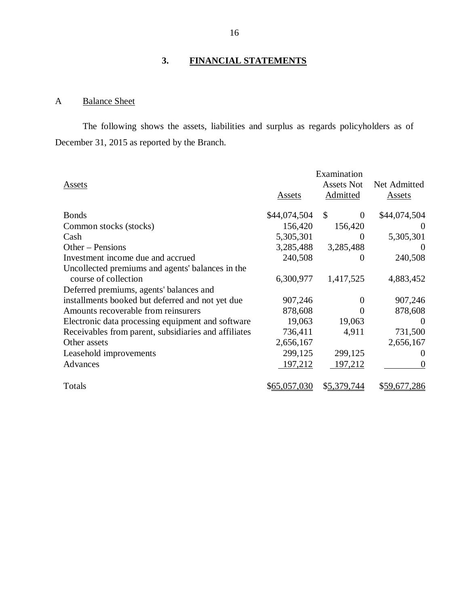# **3. FINANCIAL STATEMENTS**

## A Balance Sheet

The following shows the assets, liabilities and surplus as regards policyholders as of December 31, 2015 as reported by the Branch.

|                                                      | Examination  |                           |              |
|------------------------------------------------------|--------------|---------------------------|--------------|
| <b>Assets</b>                                        |              | <b>Assets Not</b>         | Net Admitted |
|                                                      | Assets       | Admitted                  | Assets       |
|                                                      |              |                           |              |
| <b>Bonds</b>                                         | \$44,074,504 | $\mathcal{S}$<br>$\theta$ | \$44,074,504 |
| Common stocks (stocks)                               | 156,420      | 156,420                   |              |
| Cash                                                 | 5,305,301    | $\theta$                  | 5,305,301    |
| Other – Pensions                                     | 3,285,488    | 3,285,488                 | $\theta$     |
| Investment income due and accrued                    | 240,508      | $\theta$                  | 240,508      |
| Uncollected premiums and agents' balances in the     |              |                           |              |
| course of collection                                 | 6,300,977    | 1,417,525                 | 4,883,452    |
| Deferred premiums, agents' balances and              |              |                           |              |
| installments booked but deferred and not yet due     | 907,246      | $\theta$                  | 907,246      |
| Amounts recoverable from reinsurers                  | 878,608      | $\Omega$                  | 878,608      |
| Electronic data processing equipment and software    | 19,063       | 19,063                    | $\Omega$     |
| Receivables from parent, subsidiaries and affiliates | 736,411      | 4,911                     | 731,500      |
| Other assets                                         | 2,656,167    |                           | 2,656,167    |
| Leasehold improvements                               | 299,125      | 299,125                   | $\theta$     |
| Advances                                             | 197,212      | 197,212                   | $\Omega$     |
|                                                      |              |                           |              |
| Totals                                               | \$65,057,030 | \$5,379,744               | \$59,677,286 |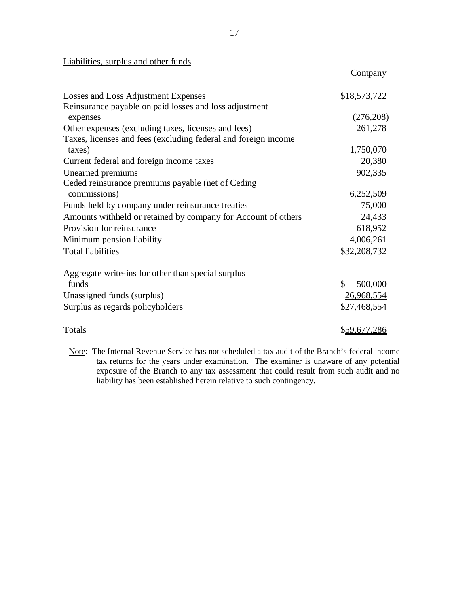## Liabilities, surplus and other funds

| Losses and Loss Adjustment Expenses                            | \$18,573,722  |
|----------------------------------------------------------------|---------------|
| Reinsurance payable on paid losses and loss adjustment         |               |
| expenses                                                       | (276,208)     |
| Other expenses (excluding taxes, licenses and fees)            | 261,278       |
| Taxes, licenses and fees (excluding federal and foreign income |               |
| taxes)                                                         | 1,750,070     |
| Current federal and foreign income taxes                       | 20,380        |
| Unearned premiums                                              | 902,335       |
| Ceded reinsurance premiums payable (net of Ceding              |               |
| commissions)                                                   | 6,252,509     |
| Funds held by company under reinsurance treaties               | 75,000        |
| Amounts withheld or retained by company for Account of others  | 24,433        |
| Provision for reinsurance                                      | 618,952       |
| Minimum pension liability                                      | 4,006,261     |
| <b>Total liabilities</b>                                       | \$32,208,732  |
| Aggregate write-ins for other than special surplus             |               |
| funds                                                          | \$<br>500,000 |
| Unassigned funds (surplus)                                     | 26,968,554    |
| Surplus as regards policyholders                               | \$27,468,554  |
| Totals                                                         | \$59,677,286  |

Note: The Internal Revenue Service has not scheduled a tax audit of the Branch's federal income tax returns for the years under examination. The examiner is unaware of any potential exposure of the Branch to any tax assessment that could result from such audit and no liability has been established herein relative to such contingency.

Company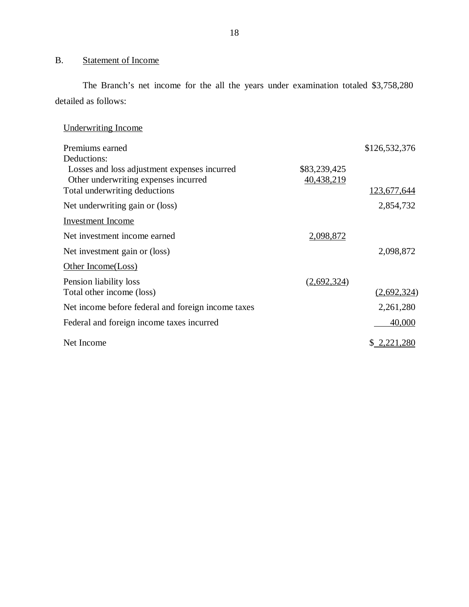## <span id="page-19-0"></span>B. Statement of Income

The Branch's net income for the all the years under examination totaled \$3,758,280 detailed as follows:

| Underwriting Income |  |
|---------------------|--|
|                     |  |

| Premiums earned                                    |              | \$126,532,376   |
|----------------------------------------------------|--------------|-----------------|
| Deductions:                                        |              |                 |
| Losses and loss adjustment expenses incurred       | \$83,239,425 |                 |
| Other underwriting expenses incurred               | 40,438,219   |                 |
| Total underwriting deductions                      |              | 123,677,644     |
| Net underwriting gain or (loss)                    |              | 2,854,732       |
| <b>Investment</b> Income                           |              |                 |
| Net investment income earned                       | 2,098,872    |                 |
| Net investment gain or (loss)                      |              | 2,098,872       |
| Other Income(Loss)                                 |              |                 |
| Pension liability loss                             | (2,692,324)  |                 |
| Total other income (loss)                          |              | (2,692,324)     |
| Net income before federal and foreign income taxes |              | 2,261,280       |
| Federal and foreign income taxes incurred          |              | 40,000          |
| Net Income                                         |              | S.<br>2,221,280 |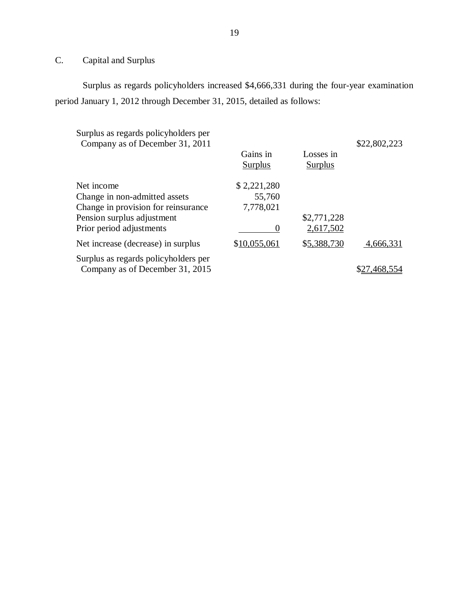## C. Capital and Surplus

Surplus as regards policyholders increased \$4,666,331 during the four-year examination period January 1, 2012 through December 31, 2015, detailed as follows:

| Surplus as regards policyholders per<br>Company as of December 31, 2011 |                            |                      | \$22,802,223 |
|-------------------------------------------------------------------------|----------------------------|----------------------|--------------|
|                                                                         | Gains in<br><b>Surplus</b> | Losses in<br>Surplus |              |
| Net income                                                              | \$2,221,280                |                      |              |
| Change in non-admitted assets                                           | 55,760                     |                      |              |
| Change in provision for reinsurance                                     | 7,778,021                  |                      |              |
| Pension surplus adjustment                                              |                            | \$2,771,228          |              |
| Prior period adjustments                                                | O                          | 2,617,502            |              |
| Net increase (decrease) in surplus                                      | \$10,055,061               | \$5,388,730          | 4,666,331    |
| Surplus as regards policyholders per<br>Company as of December 31, 2015 |                            |                      |              |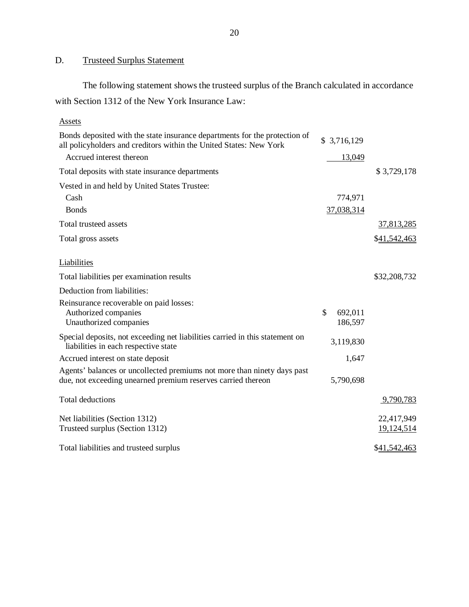## D. Trusteed Surplus Statement

The following statement shows the trusteed surplus of the Branch calculated in accordance with Section 1312 of the New York Insurance Law:

| <b>Assets</b>                                                                                                                                    |               |             |                          |
|--------------------------------------------------------------------------------------------------------------------------------------------------|---------------|-------------|--------------------------|
| Bonds deposited with the state insurance departments for the protection of<br>all policyholders and creditors within the United States: New York |               | \$3,716,129 |                          |
| Accrued interest thereon                                                                                                                         |               | 13,049      |                          |
| Total deposits with state insurance departments                                                                                                  |               |             | \$3,729,178              |
| Vested in and held by United States Trustee:                                                                                                     |               |             |                          |
| Cash                                                                                                                                             |               | 774,971     |                          |
| <b>Bonds</b>                                                                                                                                     |               | 37,038,314  |                          |
| Total trusteed assets                                                                                                                            |               |             | 37,813,285               |
| Total gross assets                                                                                                                               |               |             | \$41,542,463             |
| Liabilities                                                                                                                                      |               |             |                          |
| Total liabilities per examination results                                                                                                        |               |             | \$32,208,732             |
| Deduction from liabilities:                                                                                                                      |               |             |                          |
| Reinsurance recoverable on paid losses:                                                                                                          |               |             |                          |
| Authorized companies                                                                                                                             | $\mathcal{S}$ | 692,011     |                          |
| Unauthorized companies                                                                                                                           |               | 186,597     |                          |
| Special deposits, not exceeding net liabilities carried in this statement on<br>liabilities in each respective state                             |               | 3,119,830   |                          |
| Accrued interest on state deposit                                                                                                                |               | 1,647       |                          |
| Agents' balances or uncollected premiums not more than ninety days past<br>due, not exceeding unearned premium reserves carried thereon          |               | 5,790,698   |                          |
| Total deductions                                                                                                                                 |               |             | 9,790,783                |
| Net liabilities (Section 1312)<br>Trusteed surplus (Section 1312)                                                                                |               |             | 22,417,949<br>19,124,514 |
| Total liabilities and trusteed surplus                                                                                                           |               |             | \$41,542,463             |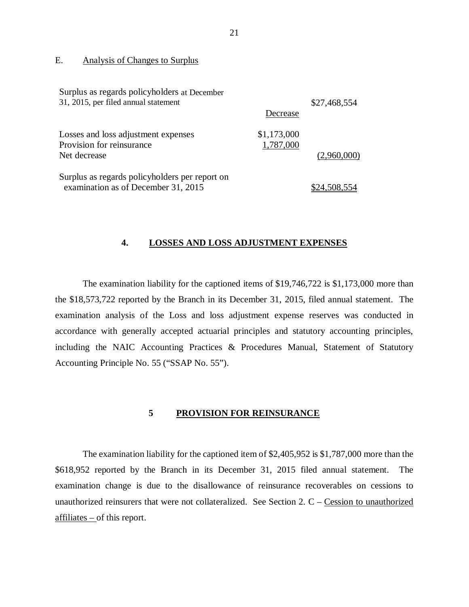### E. Analysis of Changes to Surplus

| Surplus as regards policyholders at December<br>31, 2015, per filed annual statement  | Decrease                 | \$27,468,554 |
|---------------------------------------------------------------------------------------|--------------------------|--------------|
| Losses and loss adjustment expenses<br>Provision for reinsurance<br>Net decrease      | \$1,173,000<br>1,787,000 | (2,960,000)  |
| Surplus as regards policyholders per report on<br>examination as of December 31, 2015 |                          | \$24.508.554 |

#### **4. LOSSES AND LOSS ADJUSTMENT EXPENSES**

The examination liability for the captioned items of \$19,746,722 is \$1,173,000 more than the \$18,573,722 reported by the Branch in its December 31, 2015, filed annual statement. The examination analysis of the Loss and loss adjustment expense reserves was conducted in accordance with generally accepted actuarial principles and statutory accounting principles, including the NAIC Accounting Practices & Procedures Manual, Statement of Statutory Accounting Principle No. 55 ("SSAP No. 55").

## **5 PROVISION FOR REINSURANCE**

The examination liability for the captioned item of \$2,405,952 is \$1,787,000 more than the \$618,952 reported by the Branch in its December 31, 2015 filed annual statement. The examination change is due to the disallowance of reinsurance recoverables on cessions to unauthorized reinsurers that were not collateralized. See Section 2.  $C -$ Cession to unauthorized affiliates – of this report.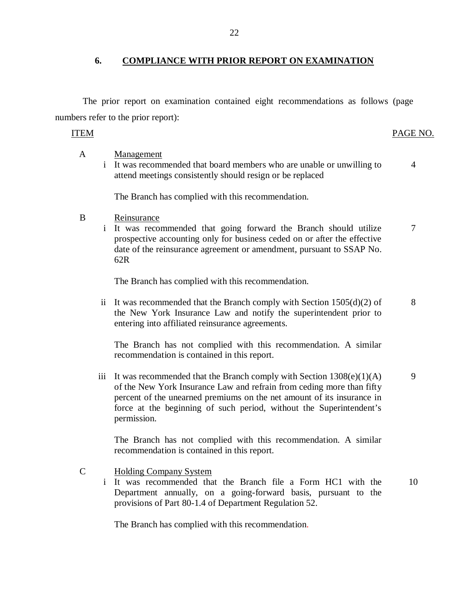## **6. COMPLIANCE WITH PRIOR REPORT ON EXAMINATION**

The prior report on examination contained eight recommendations as follows (page numbers refer to the prior report):

## ITEM PAGE NO.

- A i It was recommended that board members who are unable or unwilling to Management attend meetings consistently should resign or be replaced 4 The Branch has complied with this recommendation.
- B Reinsurance
	- i It was recommended that going forward the Branch should utilize prospective accounting only for business ceded on or after the effective date of the reinsurance agreement or amendment, pursuant to SSAP No. 62R 7

The Branch has complied with this recommendation.

ii It was recommended that the Branch comply with Section  $1505(d)(2)$  of the New York Insurance Law and notify the superintendent prior to entering into affiliated reinsurance agreements. 8

The Branch has not complied with this recommendation. A similar recommendation is contained in this report.

iii It was recommended that the Branch comply with Section  $1308(e)(1)(A)$ of the New York Insurance Law and refrain from ceding more than fifty percent of the unearned premiums on the net amount of its insurance in force at the beginning of such period, without the Superintendent's permission. 9

The Branch has not complied with this recommendation. A similar recommendation is contained in this report.

C Holding Company System

> i It was recommended that the Branch file a Form HC1 with the Department annually, on a going-forward basis, pursuant to the provisions of Part 80-1.4 of Department Regulation 52. 10

The Branch has complied with this recommendation.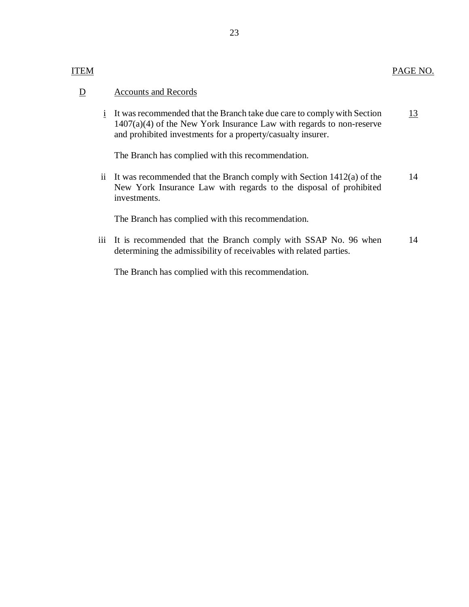## ITEM

#### D Accounts and Records

 $\frac{i}{\pi}$  It was recommended that the Branch take due care to comply with Section 1407(a)(4) of the New York Insurance Law with regards to non-reserve and prohibited investments for a property/casualty insurer. 13

The Branch has complied with this recommendation.

ii It was recommended that the Branch comply with Section 1412(a) of the New York Insurance Law with regards to the disposal of prohibited investments. 14

The Branch has complied with this recommendation.

iii It is recommended that the Branch comply with SSAP No. 96 when determining the admissibility of receivables with related parties. 14

The Branch has complied with this recommendation.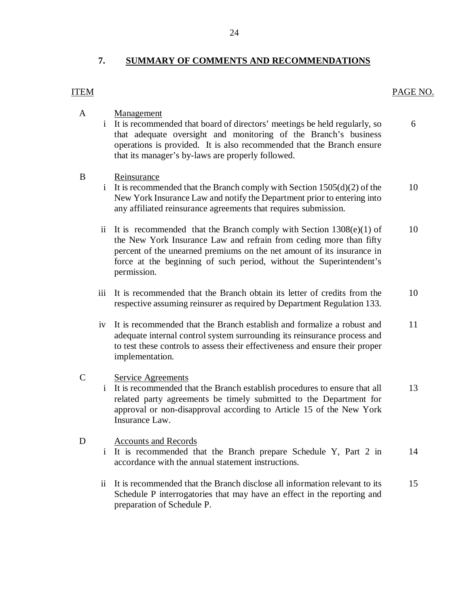## **7. SUMMARY OF COMMENTS AND RECOMMENDATIONS**

# ITEM PAGE NO.

| A            | $\mathbf{i}$        | Management<br>It is recommended that board of directors' meetings be held regularly, so<br>that adequate oversight and monitoring of the Branch's business<br>operations is provided. It is also recommended that the Branch ensure<br>that its manager's by-laws are properly followed.                    | 6  |
|--------------|---------------------|-------------------------------------------------------------------------------------------------------------------------------------------------------------------------------------------------------------------------------------------------------------------------------------------------------------|----|
| B            | $\mathbf{i}$        | Reinsurance<br>It is recommended that the Branch comply with Section $1505(d)(2)$ of the<br>New York Insurance Law and notify the Department prior to entering into<br>any affiliated reinsurance agreements that requires submission.                                                                      | 10 |
|              | $\ddot{\mathbf{i}}$ | It is recommended that the Branch comply with Section $1308(e)(1)$ of<br>the New York Insurance Law and refrain from ceding more than fifty<br>percent of the unearned premiums on the net amount of its insurance in<br>force at the beginning of such period, without the Superintendent's<br>permission. | 10 |
|              | iii                 | It is recommended that the Branch obtain its letter of credits from the<br>respective assuming reinsurer as required by Department Regulation 133.                                                                                                                                                          | 10 |
|              | iv                  | It is recommended that the Branch establish and formalize a robust and<br>adequate internal control system surrounding its reinsurance process and<br>to test these controls to assess their effectiveness and ensure their proper<br>implementation.                                                       | 11 |
| $\mathsf{C}$ | $\mathbf{i}$        | <b>Service Agreements</b><br>It is recommended that the Branch establish procedures to ensure that all<br>related party agreements be timely submitted to the Department for<br>approval or non-disapproval according to Article 15 of the New York<br>Insurance Law.                                       | 13 |
| D            | $\mathbf{i}$        | <b>Accounts and Records</b><br>It is recommended that the Branch prepare Schedule Y, Part 2 in<br>accordance with the annual statement instructions.                                                                                                                                                        | 14 |
|              | ii                  | It is recommended that the Branch disclose all information relevant to its<br>Schedule P interrogatories that may have an effect in the reporting and<br>preparation of Schedule P.                                                                                                                         | 15 |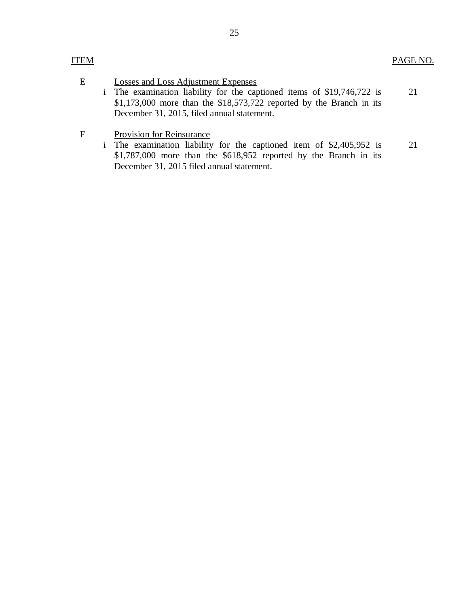E

## Losses and Loss Adjustment Expenses

- i The examination liability for the captioned items of \$19,746,722 is \$1,173,000 more than the \$18,573,722 reported by the Branch in its December 31, 2015, filed annual statement. 21
- $\mathbf F$ Provision for Reinsurance
	- i The examination liability for the captioned item of \$2,405,952 is \$1,787,000 more than the \$618,952 reported by the Branch in its December 31, 2015 filed annual statement. 21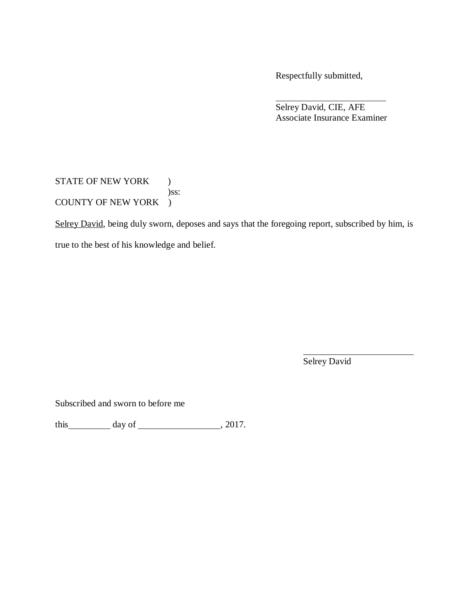Respectfully submitted,

Selrey David, CIE, AFE Associate Insurance Examiner

STATE OF NEW YORK ) )ss: COUNTY OF NEW YORK )

Selrey David, being duly sworn, deposes and says that the foregoing report, subscribed by him, is

true to the best of his knowledge and belief.

Selrey David

Subscribed and sworn to before me

this  $\_\_\_\_\_$  day of  $\_\_\_\_\_\_$ , 2017.